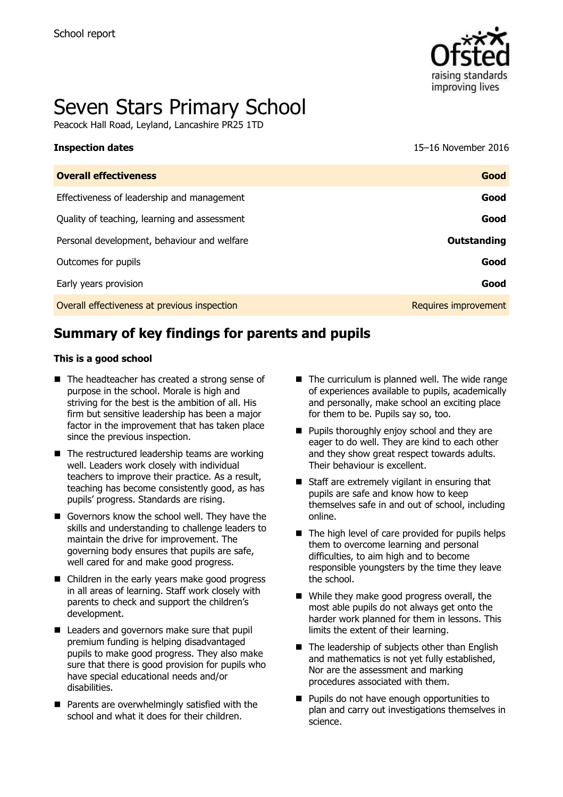

# Seven Stars Primary School

Peacock Hall Road, Leyland, Lancashire PR25 1TD

| <b>Inspection dates</b>                      | 15-16 November 2016  |
|----------------------------------------------|----------------------|
| <b>Overall effectiveness</b>                 | Good                 |
| Effectiveness of leadership and management   | Good                 |
| Quality of teaching, learning and assessment | Good                 |
| Personal development, behaviour and welfare  | Outstanding          |
| Outcomes for pupils                          | Good                 |
| Early years provision                        | Good                 |
| Overall effectiveness at previous inspection | Requires improvement |

# **Summary of key findings for parents and pupils**

#### **This is a good school**

- The headteacher has created a strong sense of purpose in the school. Morale is high and striving for the best is the ambition of all. His firm but sensitive leadership has been a major factor in the improvement that has taken place since the previous inspection.
- $\blacksquare$  The restructured leadership teams are working well. Leaders work closely with individual teachers to improve their practice. As a result, teaching has become consistently good, as has pupils' progress. Standards are rising.
- Governors know the school well. They have the skills and understanding to challenge leaders to maintain the drive for improvement. The governing body ensures that pupils are safe, well cared for and make good progress.
- Children in the early years make good progress in all areas of learning. Staff work closely with parents to check and support the children's development.
- Leaders and governors make sure that pupil premium funding is helping disadvantaged pupils to make good progress. They also make sure that there is good provision for pupils who have special educational needs and/or disabilities.
- **Parents are overwhelmingly satisfied with the** school and what it does for their children.
- $\blacksquare$  The curriculum is planned well. The wide range of experiences available to pupils, academically and personally, make school an exciting place for them to be. Pupils say so, too.
- **Pupils thoroughly enjoy school and they are** eager to do well. They are kind to each other and they show great respect towards adults. Their behaviour is excellent.
- $\blacksquare$  Staff are extremely vigilant in ensuring that pupils are safe and know how to keep themselves safe in and out of school, including online.
- $\blacksquare$  The high level of care provided for pupils helps them to overcome learning and personal difficulties, to aim high and to become responsible youngsters by the time they leave the school.
- While they make good progress overall, the most able pupils do not always get onto the harder work planned for them in lessons. This limits the extent of their learning.
- The leadership of subjects other than English and mathematics is not yet fully established, Nor are the assessment and marking procedures associated with them.
- **Pupils do not have enough opportunities to** plan and carry out investigations themselves in science.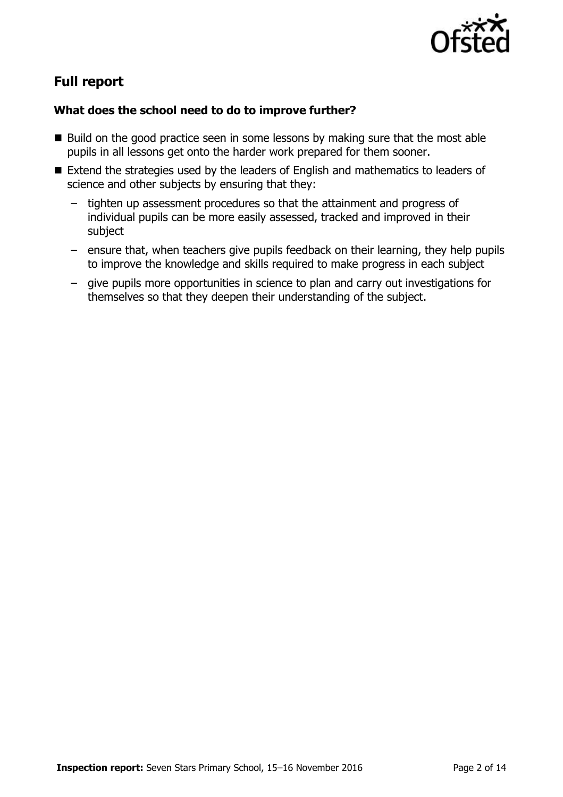

# **Full report**

### **What does the school need to do to improve further?**

- $\blacksquare$  Build on the good practice seen in some lessons by making sure that the most able pupils in all lessons get onto the harder work prepared for them sooner.
- Extend the strategies used by the leaders of English and mathematics to leaders of science and other subjects by ensuring that they:
	- tighten up assessment procedures so that the attainment and progress of individual pupils can be more easily assessed, tracked and improved in their subject
	- ensure that, when teachers give pupils feedback on their learning, they help pupils to improve the knowledge and skills required to make progress in each subject
	- give pupils more opportunities in science to plan and carry out investigations for themselves so that they deepen their understanding of the subject.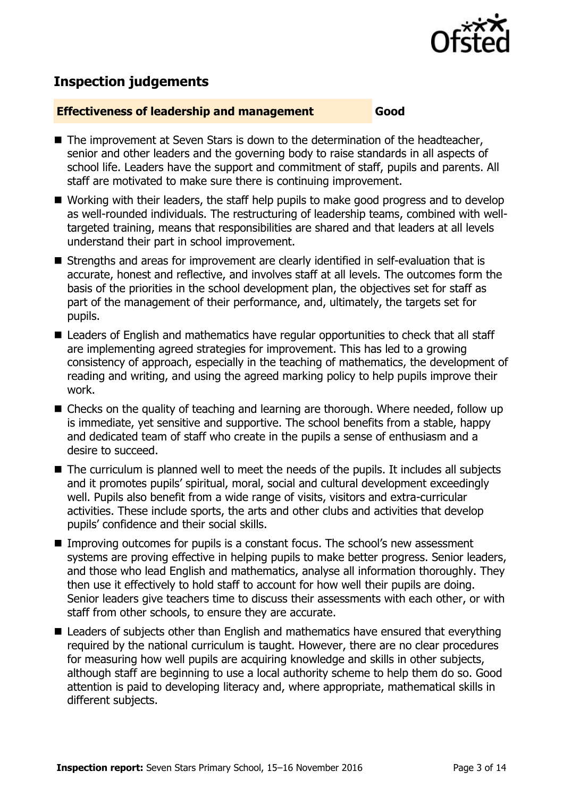

# **Inspection judgements**

#### **Effectiveness of leadership and management Good**

- $\blacksquare$  The improvement at Seven Stars is down to the determination of the headteacher, senior and other leaders and the governing body to raise standards in all aspects of school life. Leaders have the support and commitment of staff, pupils and parents. All staff are motivated to make sure there is continuing improvement.
- Working with their leaders, the staff help pupils to make good progress and to develop as well-rounded individuals. The restructuring of leadership teams, combined with welltargeted training, means that responsibilities are shared and that leaders at all levels understand their part in school improvement.
- Strengths and areas for improvement are clearly identified in self-evaluation that is accurate, honest and reflective, and involves staff at all levels. The outcomes form the basis of the priorities in the school development plan, the objectives set for staff as part of the management of their performance, and, ultimately, the targets set for pupils.
- Leaders of English and mathematics have regular opportunities to check that all staff are implementing agreed strategies for improvement. This has led to a growing consistency of approach, especially in the teaching of mathematics, the development of reading and writing, and using the agreed marking policy to help pupils improve their work.
- Checks on the quality of teaching and learning are thorough. Where needed, follow up is immediate, yet sensitive and supportive. The school benefits from a stable, happy and dedicated team of staff who create in the pupils a sense of enthusiasm and a desire to succeed.
- The curriculum is planned well to meet the needs of the pupils. It includes all subjects and it promotes pupils' spiritual, moral, social and cultural development exceedingly well. Pupils also benefit from a wide range of visits, visitors and extra-curricular activities. These include sports, the arts and other clubs and activities that develop pupils' confidence and their social skills.
- Improving outcomes for pupils is a constant focus. The school's new assessment systems are proving effective in helping pupils to make better progress. Senior leaders, and those who lead English and mathematics, analyse all information thoroughly. They then use it effectively to hold staff to account for how well their pupils are doing. Senior leaders give teachers time to discuss their assessments with each other, or with staff from other schools, to ensure they are accurate.
- Leaders of subjects other than English and mathematics have ensured that everything required by the national curriculum is taught. However, there are no clear procedures for measuring how well pupils are acquiring knowledge and skills in other subjects, although staff are beginning to use a local authority scheme to help them do so. Good attention is paid to developing literacy and, where appropriate, mathematical skills in different subjects.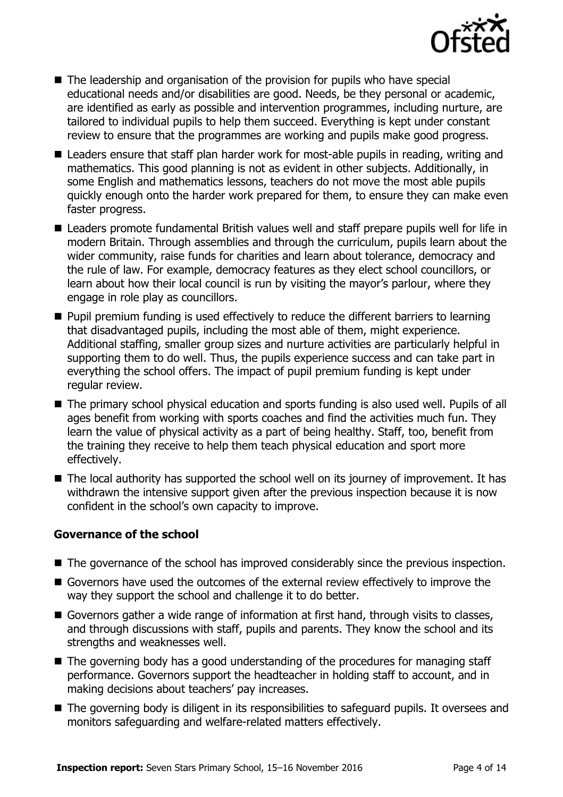

- The leadership and organisation of the provision for pupils who have special educational needs and/or disabilities are good. Needs, be they personal or academic, are identified as early as possible and intervention programmes, including nurture, are tailored to individual pupils to help them succeed. Everything is kept under constant review to ensure that the programmes are working and pupils make good progress.
- Leaders ensure that staff plan harder work for most-able pupils in reading, writing and mathematics. This good planning is not as evident in other subjects. Additionally, in some English and mathematics lessons, teachers do not move the most able pupils quickly enough onto the harder work prepared for them, to ensure they can make even faster progress.
- Leaders promote fundamental British values well and staff prepare pupils well for life in modern Britain. Through assemblies and through the curriculum, pupils learn about the wider community, raise funds for charities and learn about tolerance, democracy and the rule of law. For example, democracy features as they elect school councillors, or learn about how their local council is run by visiting the mayor's parlour, where they engage in role play as councillors.
- **Pupil premium funding is used effectively to reduce the different barriers to learning** that disadvantaged pupils, including the most able of them, might experience. Additional staffing, smaller group sizes and nurture activities are particularly helpful in supporting them to do well. Thus, the pupils experience success and can take part in everything the school offers. The impact of pupil premium funding is kept under regular review.
- The primary school physical education and sports funding is also used well. Pupils of all ages benefit from working with sports coaches and find the activities much fun. They learn the value of physical activity as a part of being healthy. Staff, too, benefit from the training they receive to help them teach physical education and sport more effectively.
- The local authority has supported the school well on its journey of improvement. It has withdrawn the intensive support given after the previous inspection because it is now confident in the school's own capacity to improve.

### **Governance of the school**

- The governance of the school has improved considerably since the previous inspection.
- Governors have used the outcomes of the external review effectively to improve the way they support the school and challenge it to do better.
- Governors gather a wide range of information at first hand, through visits to classes, and through discussions with staff, pupils and parents. They know the school and its strengths and weaknesses well.
- The governing body has a good understanding of the procedures for managing staff performance. Governors support the headteacher in holding staff to account, and in making decisions about teachers' pay increases.
- The governing body is diligent in its responsibilities to safeguard pupils. It oversees and monitors safeguarding and welfare-related matters effectively.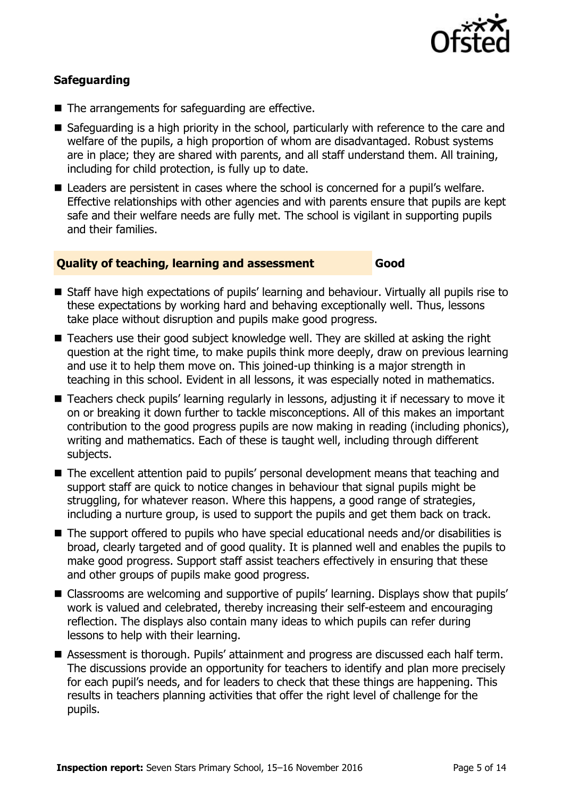

### **Safeguarding**

- The arrangements for safeguarding are effective.
- Safeguarding is a high priority in the school, particularly with reference to the care and welfare of the pupils, a high proportion of whom are disadvantaged. Robust systems are in place; they are shared with parents, and all staff understand them. All training, including for child protection, is fully up to date.
- Leaders are persistent in cases where the school is concerned for a pupil's welfare. Effective relationships with other agencies and with parents ensure that pupils are kept safe and their welfare needs are fully met. The school is vigilant in supporting pupils and their families.

#### **Quality of teaching, learning and assessment Good**

- Staff have high expectations of pupils' learning and behaviour. Virtually all pupils rise to these expectations by working hard and behaving exceptionally well. Thus, lessons take place without disruption and pupils make good progress.
- Teachers use their good subject knowledge well. They are skilled at asking the right question at the right time, to make pupils think more deeply, draw on previous learning and use it to help them move on. This joined-up thinking is a major strength in teaching in this school. Evident in all lessons, it was especially noted in mathematics.
- Teachers check pupils' learning regularly in lessons, adjusting it if necessary to move it on or breaking it down further to tackle misconceptions. All of this makes an important contribution to the good progress pupils are now making in reading (including phonics), writing and mathematics. Each of these is taught well, including through different subjects.
- The excellent attention paid to pupils' personal development means that teaching and support staff are quick to notice changes in behaviour that signal pupils might be struggling, for whatever reason. Where this happens, a good range of strategies, including a nurture group, is used to support the pupils and get them back on track.
- The support offered to pupils who have special educational needs and/or disabilities is broad, clearly targeted and of good quality. It is planned well and enables the pupils to make good progress. Support staff assist teachers effectively in ensuring that these and other groups of pupils make good progress.
- Classrooms are welcoming and supportive of pupils' learning. Displays show that pupils' work is valued and celebrated, thereby increasing their self-esteem and encouraging reflection. The displays also contain many ideas to which pupils can refer during lessons to help with their learning.
- Assessment is thorough. Pupils' attainment and progress are discussed each half term. The discussions provide an opportunity for teachers to identify and plan more precisely for each pupil's needs, and for leaders to check that these things are happening. This results in teachers planning activities that offer the right level of challenge for the pupils.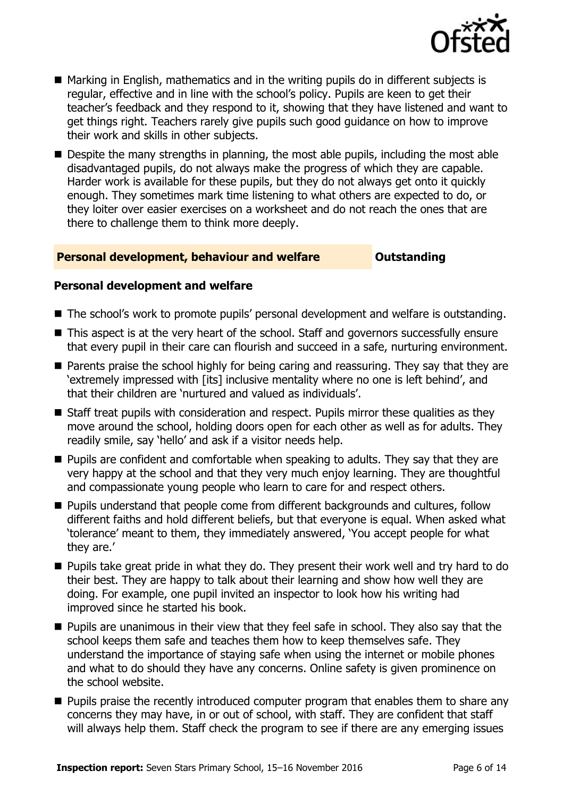

- Marking in English, mathematics and in the writing pupils do in different subjects is regular, effective and in line with the school's policy. Pupils are keen to get their teacher's feedback and they respond to it, showing that they have listened and want to get things right. Teachers rarely give pupils such good guidance on how to improve their work and skills in other subjects.
- Despite the many strengths in planning, the most able pupils, including the most able disadvantaged pupils, do not always make the progress of which they are capable. Harder work is available for these pupils, but they do not always get onto it quickly enough. They sometimes mark time listening to what others are expected to do, or they loiter over easier exercises on a worksheet and do not reach the ones that are there to challenge them to think more deeply.

#### **Personal development, behaviour and welfare <b>COULTS** Outstanding

#### **Personal development and welfare**

- The school's work to promote pupils' personal development and welfare is outstanding.
- This aspect is at the very heart of the school. Staff and governors successfully ensure that every pupil in their care can flourish and succeed in a safe, nurturing environment.
- **Parents praise the school highly for being caring and reassuring. They say that they are** 'extremely impressed with [its] inclusive mentality where no one is left behind', and that their children are 'nurtured and valued as individuals'.
- Staff treat pupils with consideration and respect. Pupils mirror these qualities as they move around the school, holding doors open for each other as well as for adults. They readily smile, say 'hello' and ask if a visitor needs help.
- $\blacksquare$  Pupils are confident and comfortable when speaking to adults. They say that they are very happy at the school and that they very much enjoy learning. They are thoughtful and compassionate young people who learn to care for and respect others.
- **Pupils understand that people come from different backgrounds and cultures, follow** different faiths and hold different beliefs, but that everyone is equal. When asked what 'tolerance' meant to them, they immediately answered, 'You accept people for what they are.'
- **Pupils take great pride in what they do. They present their work well and try hard to do** their best. They are happy to talk about their learning and show how well they are doing. For example, one pupil invited an inspector to look how his writing had improved since he started his book.
- **Pupils are unanimous in their view that they feel safe in school. They also say that the** school keeps them safe and teaches them how to keep themselves safe. They understand the importance of staying safe when using the internet or mobile phones and what to do should they have any concerns. Online safety is given prominence on the school website.
- **Pupils praise the recently introduced computer program that enables them to share any** concerns they may have, in or out of school, with staff. They are confident that staff will always help them. Staff check the program to see if there are any emerging issues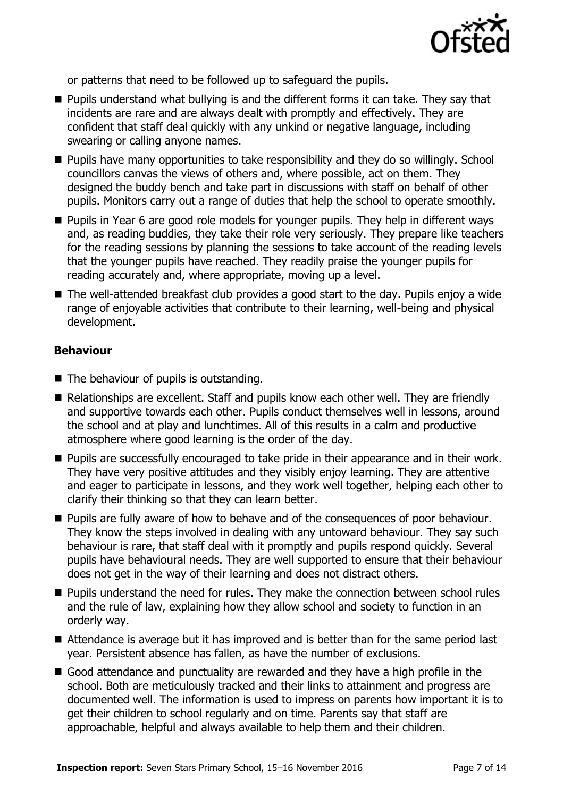

or patterns that need to be followed up to safeguard the pupils.

- **Pupils understand what bullying is and the different forms it can take. They say that** incidents are rare and are always dealt with promptly and effectively. They are confident that staff deal quickly with any unkind or negative language, including swearing or calling anyone names.
- **Pupils have many opportunities to take responsibility and they do so willingly. School** councillors canvas the views of others and, where possible, act on them. They designed the buddy bench and take part in discussions with staff on behalf of other pupils. Monitors carry out a range of duties that help the school to operate smoothly.
- **Pupils in Year 6 are good role models for younger pupils. They help in different ways** and, as reading buddies, they take their role very seriously. They prepare like teachers for the reading sessions by planning the sessions to take account of the reading levels that the younger pupils have reached. They readily praise the younger pupils for reading accurately and, where appropriate, moving up a level.
- The well-attended breakfast club provides a good start to the day. Pupils enjoy a wide range of enjoyable activities that contribute to their learning, well-being and physical development.

#### , **Behaviour**

- The behaviour of pupils is outstanding.
- Relationships are excellent. Staff and pupils know each other well. They are friendly and supportive towards each other. Pupils conduct themselves well in lessons, around the school and at play and lunchtimes. All of this results in a calm and productive atmosphere where good learning is the order of the day.
- **Pupils are successfully encouraged to take pride in their appearance and in their work.** They have very positive attitudes and they visibly enjoy learning. They are attentive and eager to participate in lessons, and they work well together, helping each other to clarify their thinking so that they can learn better.
- **Pupils are fully aware of how to behave and of the consequences of poor behaviour.** They know the steps involved in dealing with any untoward behaviour. They say such behaviour is rare, that staff deal with it promptly and pupils respond quickly. Several pupils have behavioural needs. They are well supported to ensure that their behaviour does not get in the way of their learning and does not distract others.
- **Pupils understand the need for rules. They make the connection between school rules** and the rule of law, explaining how they allow school and society to function in an orderly way.
- Attendance is average but it has improved and is better than for the same period last year. Persistent absence has fallen, as have the number of exclusions.
- Good attendance and punctuality are rewarded and they have a high profile in the school. Both are meticulously tracked and their links to attainment and progress are documented well. The information is used to impress on parents how important it is to get their children to school regularly and on time. Parents say that staff are approachable, helpful and always available to help them and their children.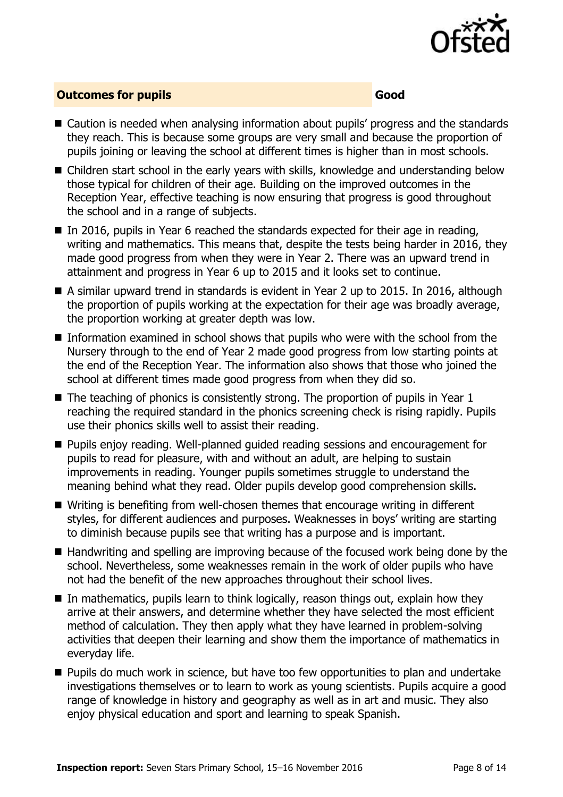

#### **Outcomes for pupils Good Good**

- Caution is needed when analysing information about pupils' progress and the standards they reach. This is because some groups are very small and because the proportion of pupils joining or leaving the school at different times is higher than in most schools.
- Children start school in the early years with skills, knowledge and understanding below those typical for children of their age. Building on the improved outcomes in the Reception Year, effective teaching is now ensuring that progress is good throughout the school and in a range of subjects.
- $\blacksquare$  In 2016, pupils in Year 6 reached the standards expected for their age in reading, writing and mathematics. This means that, despite the tests being harder in 2016, they made good progress from when they were in Year 2. There was an upward trend in attainment and progress in Year 6 up to 2015 and it looks set to continue.
- A similar upward trend in standards is evident in Year 2 up to 2015. In 2016, although the proportion of pupils working at the expectation for their age was broadly average, the proportion working at greater depth was low.
- Information examined in school shows that pupils who were with the school from the Nursery through to the end of Year 2 made good progress from low starting points at the end of the Reception Year. The information also shows that those who joined the school at different times made good progress from when they did so.
- $\blacksquare$  The teaching of phonics is consistently strong. The proportion of pupils in Year 1 reaching the required standard in the phonics screening check is rising rapidly. Pupils use their phonics skills well to assist their reading.
- **Pupils enjoy reading. Well-planned guided reading sessions and encouragement for** pupils to read for pleasure, with and without an adult, are helping to sustain improvements in reading. Younger pupils sometimes struggle to understand the meaning behind what they read. Older pupils develop good comprehension skills.
- Writing is benefiting from well-chosen themes that encourage writing in different styles, for different audiences and purposes. Weaknesses in boys' writing are starting to diminish because pupils see that writing has a purpose and is important.
- Handwriting and spelling are improving because of the focused work being done by the school. Nevertheless, some weaknesses remain in the work of older pupils who have not had the benefit of the new approaches throughout their school lives.
- $\blacksquare$  In mathematics, pupils learn to think logically, reason things out, explain how they arrive at their answers, and determine whether they have selected the most efficient method of calculation. They then apply what they have learned in problem-solving activities that deepen their learning and show them the importance of mathematics in everyday life.
- **Pupils do much work in science, but have too few opportunities to plan and undertake** investigations themselves or to learn to work as young scientists. Pupils acquire a good range of knowledge in history and geography as well as in art and music. They also enjoy physical education and sport and learning to speak Spanish.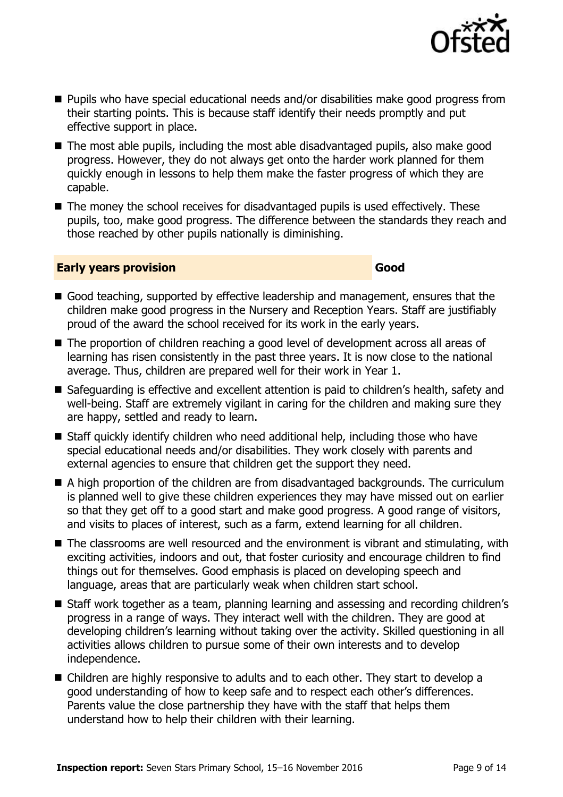

- Pupils who have special educational needs and/or disabilities make good progress from their starting points. This is because staff identify their needs promptly and put effective support in place.
- The most able pupils, including the most able disadvantaged pupils, also make good progress. However, they do not always get onto the harder work planned for them quickly enough in lessons to help them make the faster progress of which they are capable.
- The money the school receives for disadvantaged pupils is used effectively. These pupils, too, make good progress. The difference between the standards they reach and those reached by other pupils nationally is diminishing.

#### **Early years provision Good Good**

- Good teaching, supported by effective leadership and management, ensures that the children make good progress in the Nursery and Reception Years. Staff are justifiably proud of the award the school received for its work in the early years.
- The proportion of children reaching a good level of development across all areas of learning has risen consistently in the past three years. It is now close to the national average. Thus, children are prepared well for their work in Year 1.
- Safeguarding is effective and excellent attention is paid to children's health, safety and well-being. Staff are extremely vigilant in caring for the children and making sure they are happy, settled and ready to learn.
- Staff quickly identify children who need additional help, including those who have special educational needs and/or disabilities. They work closely with parents and external agencies to ensure that children get the support they need.
- A high proportion of the children are from disadvantaged backgrounds. The curriculum is planned well to give these children experiences they may have missed out on earlier so that they get off to a good start and make good progress. A good range of visitors, and visits to places of interest, such as a farm, extend learning for all children.
- The classrooms are well resourced and the environment is vibrant and stimulating, with exciting activities, indoors and out, that foster curiosity and encourage children to find things out for themselves. Good emphasis is placed on developing speech and language, areas that are particularly weak when children start school.
- Staff work together as a team, planning learning and assessing and recording children's progress in a range of ways. They interact well with the children. They are good at developing children's learning without taking over the activity. Skilled questioning in all activities allows children to pursue some of their own interests and to develop independence.
- Children are highly responsive to adults and to each other. They start to develop a good understanding of how to keep safe and to respect each other's differences. Parents value the close partnership they have with the staff that helps them understand how to help their children with their learning.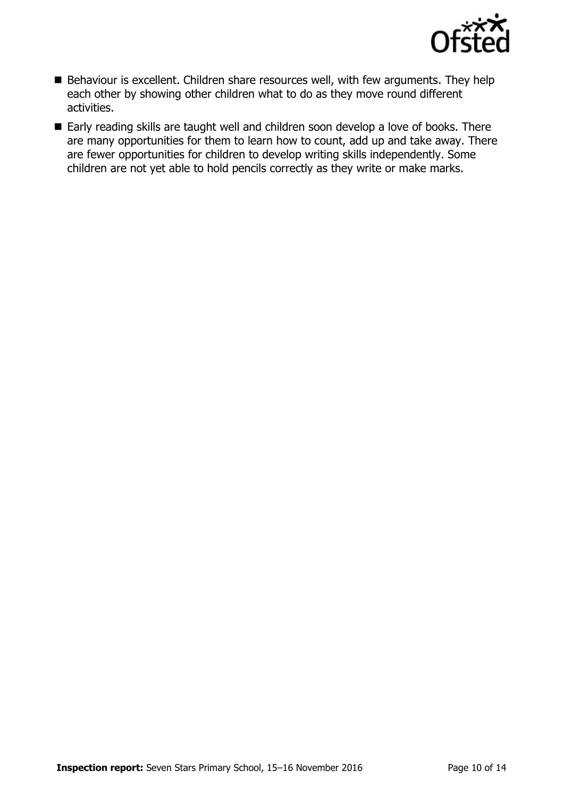

- Behaviour is excellent. Children share resources well, with few arguments. They help each other by showing other children what to do as they move round different activities.
- Early reading skills are taught well and children soon develop a love of books. There are many opportunities for them to learn how to count, add up and take away. There are fewer opportunities for children to develop writing skills independently. Some children are not yet able to hold pencils correctly as they write or make marks.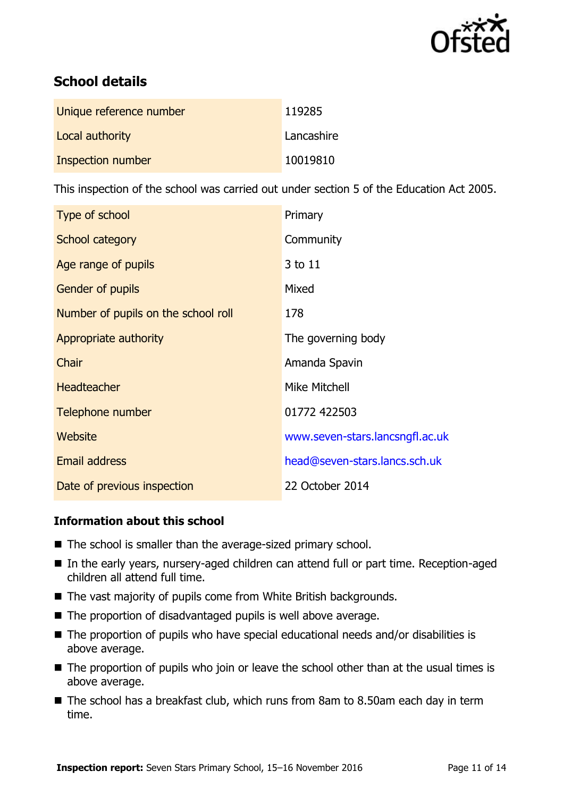

# **School details**

| Unique reference number | 119285     |
|-------------------------|------------|
| Local authority         | Lancashire |
| Inspection number       | 10019810   |

This inspection of the school was carried out under section 5 of the Education Act 2005.

| Type of school                      | Primary                         |
|-------------------------------------|---------------------------------|
| School category                     | Community                       |
| Age range of pupils                 | 3 to 11                         |
| Gender of pupils                    | Mixed                           |
| Number of pupils on the school roll | 178                             |
| Appropriate authority               | The governing body              |
| Chair                               | Amanda Spavin                   |
| <b>Headteacher</b>                  | Mike Mitchell                   |
| Telephone number                    | 01772 422503                    |
| Website                             | www.seven-stars.lancsngfl.ac.uk |
| Email address                       | head@seven-stars.lancs.sch.uk   |
| Date of previous inspection         | 22 October 2014                 |

### **Information about this school**

- The school is smaller than the average-sized primary school.
- In the early years, nursery-aged children can attend full or part time. Reception-aged children all attend full time.
- The vast majority of pupils come from White British backgrounds.
- The proportion of disadvantaged pupils is well above average.
- The proportion of pupils who have special educational needs and/or disabilities is above average.
- The proportion of pupils who join or leave the school other than at the usual times is above average.
- The school has a breakfast club, which runs from 8am to 8.50am each day in term time.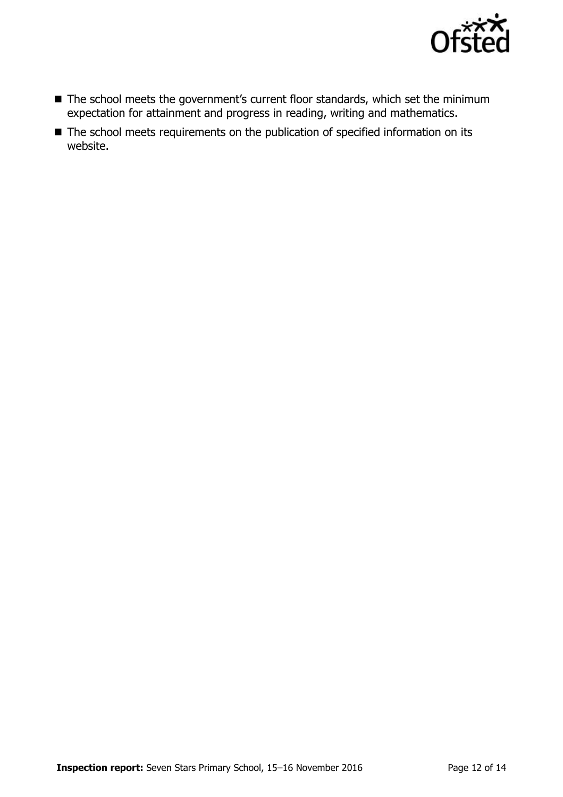

- The school meets the government's current floor standards, which set the minimum expectation for attainment and progress in reading, writing and mathematics.
- The school meets requirements on the publication of specified information on its website.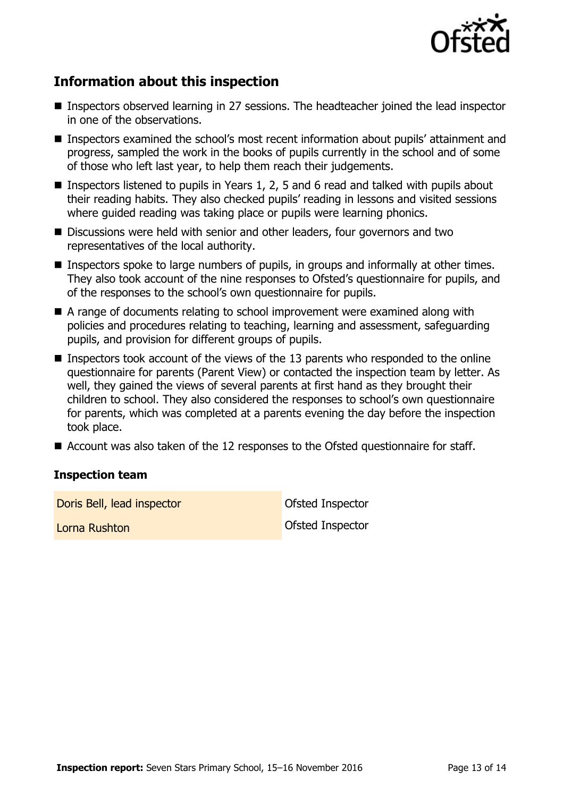

# **Information about this inspection**

- Inspectors observed learning in 27 sessions. The headteacher joined the lead inspector in one of the observations.
- Inspectors examined the school's most recent information about pupils' attainment and progress, sampled the work in the books of pupils currently in the school and of some of those who left last year, to help them reach their judgements.
- **Inspectors listened to pupils in Years 1, 2, 5 and 6 read and talked with pupils about** their reading habits. They also checked pupils' reading in lessons and visited sessions where guided reading was taking place or pupils were learning phonics.
- Discussions were held with senior and other leaders, four governors and two representatives of the local authority.
- **Inspectors spoke to large numbers of pupils, in groups and informally at other times.** They also took account of the nine responses to Ofsted's questionnaire for pupils, and of the responses to the school's own questionnaire for pupils.
- A range of documents relating to school improvement were examined along with policies and procedures relating to teaching, learning and assessment, safeguarding pupils, and provision for different groups of pupils.
- **Inspectors took account of the views of the 13 parents who responded to the online** questionnaire for parents (Parent View) or contacted the inspection team by letter. As well, they gained the views of several parents at first hand as they brought their children to school. They also considered the responses to school's own questionnaire for parents, which was completed at a parents evening the day before the inspection took place.
- $\blacksquare$  Account was also taken of the 12 responses to the Ofsted questionnaire for staff.

#### **Inspection team**

Doris Bell, lead inspector **Doris Bell** Doris Bell, lead inspector

Lorna Rushton Ofsted Inspector